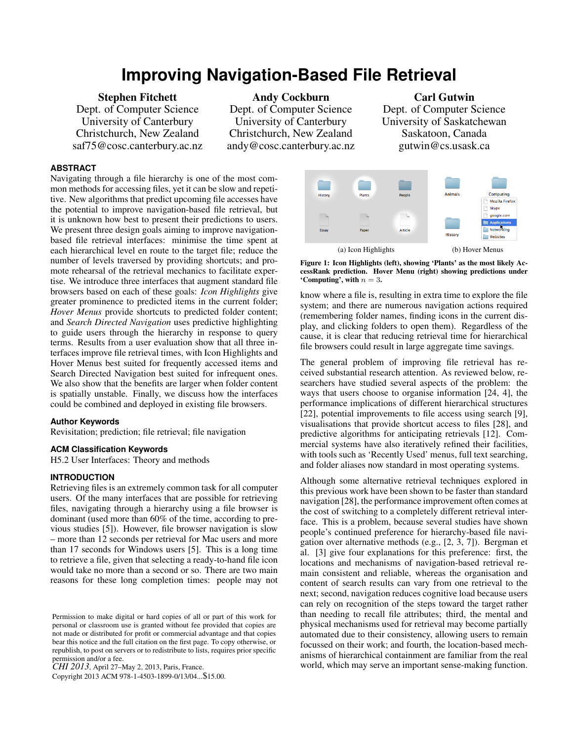# **Improving Navigation-Based File Retrieval**

# Stephen Fitchett

Dept. of Computer Science University of Canterbury Christchurch, New Zealand saf75@cosc.canterbury.ac.nz

Andy Cockburn Dept. of Computer Science University of Canterbury Christchurch, New Zealand andy@cosc.canterbury.ac.nz

Carl Gutwin Dept. of Computer Science University of Saskatchewan Saskatoon, Canada gutwin@cs.usask.ca

# **ABSTRACT**

Navigating through a file hierarchy is one of the most common methods for accessing files, yet it can be slow and repetitive. New algorithms that predict upcoming file accesses have the potential to improve navigation-based file retrieval, but it is unknown how best to present their predictions to users. We present three design goals aiming to improve navigationbased file retrieval interfaces: minimise the time spent at each hierarchical level en route to the target file; reduce the number of levels traversed by providing shortcuts; and promote rehearsal of the retrieval mechanics to facilitate expertise. We introduce three interfaces that augment standard file browsers based on each of these goals: *Icon Highlights* give greater prominence to predicted items in the current folder; *Hover Menus* provide shortcuts to predicted folder content; and *Search Directed Navigation* uses predictive highlighting to guide users through the hierarchy in response to query terms. Results from a user evaluation show that all three interfaces improve file retrieval times, with Icon Highlights and Hover Menus best suited for frequently accessed items and Search Directed Navigation best suited for infrequent ones. We also show that the benefits are larger when folder content is spatially unstable. Finally, we discuss how the interfaces could be combined and deployed in existing file browsers.

#### **Author Keywords**

Revisitation; prediction; file retrieval; file navigation

#### **ACM Classification Keywords**

H5.2 User Interfaces: Theory and methods

#### **INTRODUCTION**

Retrieving files is an extremely common task for all computer users. Of the many interfaces that are possible for retrieving files, navigating through a hierarchy using a file browser is dominant (used more than 60% of the time, according to previous studies [\[5\]](#page-9-0)). However, file browser navigation is slow – more than 12 seconds per retrieval for Mac users and more than 17 seconds for Windows users [\[5\]](#page-9-0). This is a long time to retrieve a file, given that selecting a ready-to-hand file icon would take no more than a second or so. There are two main reasons for these long completion times: people may not

*CHI 2013*, April 27–May 2, 2013, Paris, France.

Copyright 2013 ACM 978-1-4503-1899-0/13/04...\$15.00.

<span id="page-0-0"></span>

<span id="page-0-1"></span>Figure 1: Icon Highlights (left), showing 'Plants' as the most likely AccessRank prediction. Hover Menu (right) showing predictions under 'Computing', with  $n = 3$ .

know where a file is, resulting in extra time to explore the file system; and there are numerous navigation actions required (remembering folder names, finding icons in the current display, and clicking folders to open them). Regardless of the cause, it is clear that reducing retrieval time for hierarchical file browsers could result in large aggregate time savings.

The general problem of improving file retrieval has received substantial research attention. As reviewed below, researchers have studied several aspects of the problem: the ways that users choose to organise information [\[24,](#page-9-1) [4\]](#page-9-2), the performance implications of different hierarchical structures [\[22\]](#page-9-3), potential improvements to file access using search [\[9\]](#page-9-4), visualisations that provide shortcut access to files [\[28\]](#page-9-5), and predictive algorithms for anticipating retrievals [\[12\]](#page-9-6). Commercial systems have also iteratively refined their facilities, with tools such as 'Recently Used' menus, full text searching, and folder aliases now standard in most operating systems.

Although some alternative retrieval techniques explored in this previous work have been shown to be faster than standard navigation [\[28\]](#page-9-5), the performance improvement often comes at the cost of switching to a completely different retrieval interface. This is a problem, because several studies have shown people's continued preference for hierarchy-based file navigation over alternative methods (e.g., [\[2,](#page-9-7) [3,](#page-9-8) [7\]](#page-9-9)). Bergman et al. [\[3\]](#page-9-8) give four explanations for this preference: first, the locations and mechanisms of navigation-based retrieval remain consistent and reliable, whereas the organisation and content of search results can vary from one retrieval to the next; second, navigation reduces cognitive load because users can rely on recognition of the steps toward the target rather than needing to recall file attributes; third, the mental and physical mechanisms used for retrieval may become partially automated due to their consistency, allowing users to remain focussed on their work; and fourth, the location-based mechanisms of hierarchical containment are familiar from the real world, which may serve an important sense-making function.

Permission to make digital or hard copies of all or part of this work for personal or classroom use is granted without fee provided that copies are not made or distributed for profit or commercial advantage and that copies bear this notice and the full citation on the first page. To copy otherwise, or republish, to post on servers or to redistribute to lists, requires prior specific permission and/or a fee.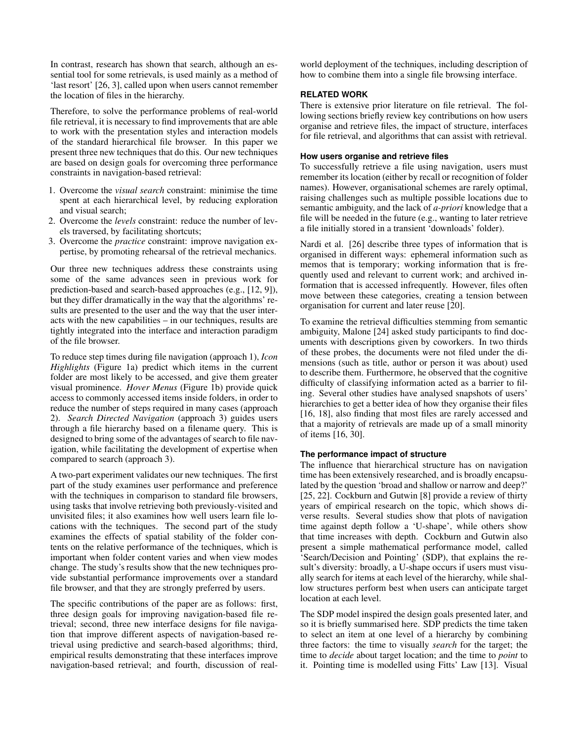In contrast, research has shown that search, although an essential tool for some retrievals, is used mainly as a method of 'last resort' [\[26,](#page-9-10) [3\]](#page-9-8), called upon when users cannot remember the location of files in the hierarchy.

Therefore, to solve the performance problems of real-world file retrieval, it is necessary to find improvements that are able to work with the presentation styles and interaction models of the standard hierarchical file browser. In this paper we present three new techniques that do this. Our new techniques are based on design goals for overcoming three performance constraints in navigation-based retrieval:

- 1. Overcome the *visual search* constraint: minimise the time spent at each hierarchical level, by reducing exploration and visual search;
- 2. Overcome the *levels* constraint: reduce the number of levels traversed, by facilitating shortcuts;
- 3. Overcome the *practice* constraint: improve navigation expertise, by promoting rehearsal of the retrieval mechanics.

Our three new techniques address these constraints using some of the same advances seen in previous work for prediction-based and search-based approaches (e.g., [\[12,](#page-9-6) [9\]](#page-9-4)), but they differ dramatically in the way that the algorithms' results are presented to the user and the way that the user interacts with the new capabilities – in our techniques, results are tightly integrated into the interface and interaction paradigm of the file browser.

To reduce step times during file navigation (approach 1), *Icon Highlights* (Figure [1a\)](#page-0-0) predict which items in the current folder are most likely to be accessed, and give them greater visual prominence. *Hover Menus* (Figure [1b\)](#page-0-1) provide quick access to commonly accessed items inside folders, in order to reduce the number of steps required in many cases (approach 2). *Search Directed Navigation* (approach 3) guides users through a file hierarchy based on a filename query. This is designed to bring some of the advantages of search to file navigation, while facilitating the development of expertise when compared to search (approach 3).

A two-part experiment validates our new techniques. The first part of the study examines user performance and preference with the techniques in comparison to standard file browsers, using tasks that involve retrieving both previously-visited and unvisited files; it also examines how well users learn file locations with the techniques. The second part of the study examines the effects of spatial stability of the folder contents on the relative performance of the techniques, which is important when folder content varies and when view modes change. The study's results show that the new techniques provide substantial performance improvements over a standard file browser, and that they are strongly preferred by users.

The specific contributions of the paper are as follows: first, three design goals for improving navigation-based file retrieval; second, three new interface designs for file navigation that improve different aspects of navigation-based retrieval using predictive and search-based algorithms; third, empirical results demonstrating that these interfaces improve navigation-based retrieval; and fourth, discussion of real-

world deployment of the techniques, including description of how to combine them into a single file browsing interface.

# **RELATED WORK**

There is extensive prior literature on file retrieval. The following sections briefly review key contributions on how users organise and retrieve files, the impact of structure, interfaces for file retrieval, and algorithms that can assist with retrieval.

# **How users organise and retrieve files**

To successfully retrieve a file using navigation, users must remember its location (either by recall or recognition of folder names). However, organisational schemes are rarely optimal, raising challenges such as multiple possible locations due to semantic ambiguity, and the lack of *a-priori* knowledge that a file will be needed in the future (e.g., wanting to later retrieve a file initially stored in a transient 'downloads' folder).

Nardi et al. [\[26\]](#page-9-10) describe three types of information that is organised in different ways: ephemeral information such as memos that is temporary; working information that is frequently used and relevant to current work; and archived information that is accessed infrequently. However, files often move between these categories, creating a tension between organisation for current and later reuse [\[20\]](#page-9-11).

To examine the retrieval difficulties stemming from semantic ambiguity, Malone [\[24\]](#page-9-1) asked study participants to find documents with descriptions given by coworkers. In two thirds of these probes, the documents were not filed under the dimensions (such as title, author or person it was about) used to describe them. Furthermore, he observed that the cognitive difficulty of classifying information acted as a barrier to filing. Several other studies have analysed snapshots of users' hierarchies to get a better idea of how they organise their files [\[16,](#page-9-12) [18\]](#page-9-13), also finding that most files are rarely accessed and that a majority of retrievals are made up of a small minority of items [\[16,](#page-9-12) [30\]](#page-9-14).

# **The performance impact of structure**

The influence that hierarchical structure has on navigation time has been extensively researched, and is broadly encapsulated by the question 'broad and shallow or narrow and deep?' [\[25,](#page-9-15) [22\]](#page-9-3). Cockburn and Gutwin [\[8\]](#page-9-16) provide a review of thirty years of empirical research on the topic, which shows diverse results. Several studies show that plots of navigation time against depth follow a 'U-shape', while others show that time increases with depth. Cockburn and Gutwin also present a simple mathematical performance model, called 'Search/Decision and Pointing' (SDP), that explains the result's diversity: broadly, a U-shape occurs if users must visually search for items at each level of the hierarchy, while shallow structures perform best when users can anticipate target location at each level.

The SDP model inspired the design goals presented later, and so it is briefly summarised here. SDP predicts the time taken to select an item at one level of a hierarchy by combining three factors: the time to visually *search* for the target; the time to *decide* about target location; and the time to *point* to it. Pointing time is modelled using Fitts' Law [\[13\]](#page-9-17). Visual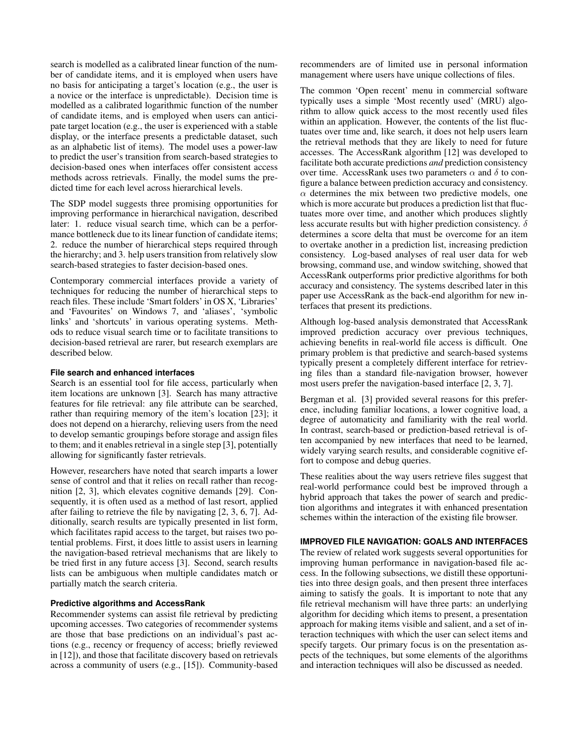search is modelled as a calibrated linear function of the number of candidate items, and it is employed when users have no basis for anticipating a target's location (e.g., the user is a novice or the interface is unpredictable). Decision time is modelled as a calibrated logarithmic function of the number of candidate items, and is employed when users can anticipate target location (e.g., the user is experienced with a stable display, or the interface presents a predictable dataset, such as an alphabetic list of items). The model uses a power-law to predict the user's transition from search-based strategies to decision-based ones when interfaces offer consistent access methods across retrievals. Finally, the model sums the predicted time for each level across hierarchical levels.

The SDP model suggests three promising opportunities for improving performance in hierarchical navigation, described later: 1. reduce visual search time, which can be a performance bottleneck due to its linear function of candidate items; 2. reduce the number of hierarchical steps required through the hierarchy; and 3. help users transition from relatively slow search-based strategies to faster decision-based ones.

Contemporary commercial interfaces provide a variety of techniques for reducing the number of hierarchical steps to reach files. These include 'Smart folders' in OS X, 'Libraries' and 'Favourites' on Windows 7, and 'aliases', 'symbolic links' and 'shortcuts' in various operating systems. Methods to reduce visual search time or to facilitate transitions to decision-based retrieval are rarer, but research exemplars are described below.

#### **File search and enhanced interfaces**

Search is an essential tool for file access, particularly when item locations are unknown [\[3\]](#page-9-8). Search has many attractive features for file retrieval: any file attribute can be searched, rather than requiring memory of the item's location [\[23\]](#page-9-18); it does not depend on a hierarchy, relieving users from the need to develop semantic groupings before storage and assign files to them; and it enables retrieval in a single step [\[3\]](#page-9-8), potentially allowing for significantly faster retrievals.

However, researchers have noted that search imparts a lower sense of control and that it relies on recall rather than recognition [\[2,](#page-9-7) [3\]](#page-9-8), which elevates cognitive demands [\[29\]](#page-9-19). Consequently, it is often used as a method of last resort, applied after failing to retrieve the file by navigating [\[2,](#page-9-7) [3,](#page-9-8) [6,](#page-9-20) [7\]](#page-9-9). Additionally, search results are typically presented in list form, which facilitates rapid access to the target, but raises two potential problems. First, it does little to assist users in learning the navigation-based retrieval mechanisms that are likely to be tried first in any future access [\[3\]](#page-9-8). Second, search results lists can be ambiguous when multiple candidates match or partially match the search criteria.

# **Predictive algorithms and AccessRank**

Recommender systems can assist file retrieval by predicting upcoming accesses. Two categories of recommender systems are those that base predictions on an individual's past actions (e.g., recency or frequency of access; briefly reviewed in [\[12\]](#page-9-6)), and those that facilitate discovery based on retrievals across a community of users (e.g., [\[15\]](#page-9-21)). Community-based

recommenders are of limited use in personal information management where users have unique collections of files.

The common 'Open recent' menu in commercial software typically uses a simple 'Most recently used' (MRU) algorithm to allow quick access to the most recently used files within an application. However, the contents of the list fluctuates over time and, like search, it does not help users learn the retrieval methods that they are likely to need for future accesses. The AccessRank algorithm [\[12\]](#page-9-6) was developed to facilitate both accurate predictions *and* prediction consistency over time. AccessRank uses two parameters  $\alpha$  and  $\delta$  to configure a balance between prediction accuracy and consistency.  $\alpha$  determines the mix between two predictive models, one which is more accurate but produces a prediction list that fluctuates more over time, and another which produces slightly less accurate results but with higher prediction consistency.  $\delta$ determines a score delta that must be overcome for an item to overtake another in a prediction list, increasing prediction consistency. Log-based analyses of real user data for web browsing, command use, and window switching, showed that AccessRank outperforms prior predictive algorithms for both accuracy and consistency. The systems described later in this paper use AccessRank as the back-end algorithm for new interfaces that present its predictions.

Although log-based analysis demonstrated that AccessRank improved prediction accuracy over previous techniques, achieving benefits in real-world file access is difficult. One primary problem is that predictive and search-based systems typically present a completely different interface for retrieving files than a standard file-navigation browser, however most users prefer the navigation-based interface [\[2,](#page-9-7) [3,](#page-9-8) [7\]](#page-9-9).

Bergman et al. [\[3\]](#page-9-8) provided several reasons for this preference, including familiar locations, a lower cognitive load, a degree of automaticity and familiarity with the real world. In contrast, search-based or prediction-based retrieval is often accompanied by new interfaces that need to be learned, widely varying search results, and considerable cognitive effort to compose and debug queries.

These realities about the way users retrieve files suggest that real-world performance could best be improved through a hybrid approach that takes the power of search and prediction algorithms and integrates it with enhanced presentation schemes within the interaction of the existing file browser.

# **IMPROVED FILE NAVIGATION: GOALS AND INTERFACES**

The review of related work suggests several opportunities for improving human performance in navigation-based file access. In the following subsections, we distill these opportunities into three design goals, and then present three interfaces aiming to satisfy the goals. It is important to note that any file retrieval mechanism will have three parts: an underlying algorithm for deciding which items to present, a presentation approach for making items visible and salient, and a set of interaction techniques with which the user can select items and specify targets. Our primary focus is on the presentation aspects of the techniques, but some elements of the algorithms and interaction techniques will also be discussed as needed.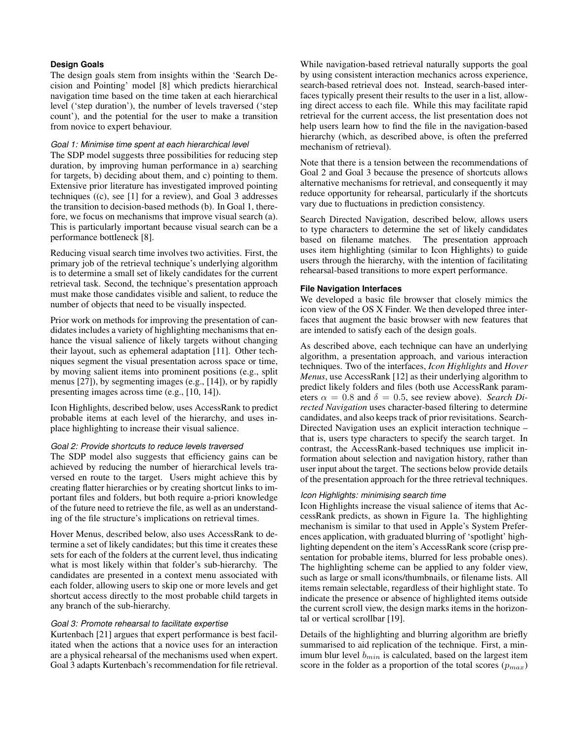# **Design Goals**

The design goals stem from insights within the 'Search Decision and Pointing' model [\[8\]](#page-9-16) which predicts hierarchical navigation time based on the time taken at each hierarchical level ('step duration'), the number of levels traversed ('step count'), and the potential for the user to make a transition from novice to expert behaviour.

## *Goal 1: Minimise time spent at each hierarchical level*

The SDP model suggests three possibilities for reducing step duration, by improving human performance in a) searching for targets, b) deciding about them, and c) pointing to them. Extensive prior literature has investigated improved pointing techniques ((c), see [\[1\]](#page-9-22) for a review), and Goal 3 addresses the transition to decision-based methods (b). In Goal 1, therefore, we focus on mechanisms that improve visual search (a). This is particularly important because visual search can be a performance bottleneck [\[8\]](#page-9-16).

Reducing visual search time involves two activities. First, the primary job of the retrieval technique's underlying algorithm is to determine a small set of likely candidates for the current retrieval task. Second, the technique's presentation approach must make those candidates visible and salient, to reduce the number of objects that need to be visually inspected.

Prior work on methods for improving the presentation of candidates includes a variety of highlighting mechanisms that enhance the visual salience of likely targets without changing their layout, such as ephemeral adaptation [\[11\]](#page-9-23). Other techniques segment the visual presentation across space or time, by moving salient items into prominent positions (e.g., split menus [\[27\]](#page-9-24)), by segmenting images (e.g., [\[14\]](#page-9-25)), or by rapidly presenting images across time (e.g., [\[10,](#page-9-26) [14\]](#page-9-25)).

Icon Highlights, described below, uses AccessRank to predict probable items at each level of the hierarchy, and uses inplace highlighting to increase their visual salience.

#### *Goal 2: Provide shortcuts to reduce levels traversed*

The SDP model also suggests that efficiency gains can be achieved by reducing the number of hierarchical levels traversed en route to the target. Users might achieve this by creating flatter hierarchies or by creating shortcut links to important files and folders, but both require a-priori knowledge of the future need to retrieve the file, as well as an understanding of the file structure's implications on retrieval times.

Hover Menus, described below, also uses AccessRank to determine a set of likely candidates; but this time it creates these sets for each of the folders at the current level, thus indicating what is most likely within that folder's sub-hierarchy. The candidates are presented in a context menu associated with each folder, allowing users to skip one or more levels and get shortcut access directly to the most probable child targets in any branch of the sub-hierarchy.

# *Goal 3: Promote rehearsal to facilitate expertise*

Kurtenbach [\[21\]](#page-9-27) argues that expert performance is best facilitated when the actions that a novice uses for an interaction are a physical rehearsal of the mechanisms used when expert. Goal 3 adapts Kurtenbach's recommendation for file retrieval.

While navigation-based retrieval naturally supports the goal by using consistent interaction mechanics across experience, search-based retrieval does not. Instead, search-based interfaces typically present their results to the user in a list, allowing direct access to each file. While this may facilitate rapid retrieval for the current access, the list presentation does not help users learn how to find the file in the navigation-based hierarchy (which, as described above, is often the preferred mechanism of retrieval).

Note that there is a tension between the recommendations of Goal 2 and Goal 3 because the presence of shortcuts allows alternative mechanisms for retrieval, and consequently it may reduce opportunity for rehearsal, particularly if the shortcuts vary due to fluctuations in prediction consistency.

Search Directed Navigation, described below, allows users to type characters to determine the set of likely candidates based on filename matches. The presentation approach uses item highlighting (similar to Icon Highlights) to guide users through the hierarchy, with the intention of facilitating rehearsal-based transitions to more expert performance.

# **File Navigation Interfaces**

We developed a basic file browser that closely mimics the icon view of the OS X Finder. We then developed three interfaces that augment the basic browser with new features that are intended to satisfy each of the design goals.

As described above, each technique can have an underlying algorithm, a presentation approach, and various interaction techniques. Two of the interfaces, *Icon Highlights* and *Hover Menus*, use AccessRank [\[12\]](#page-9-6) as their underlying algorithm to predict likely folders and files (both use AccessRank parameters  $\alpha = 0.8$  and  $\delta = 0.5$ , see review above). *Search Directed Navigation* uses character-based filtering to determine candidates, and also keeps track of prior revisitations. Search-Directed Navigation uses an explicit interaction technique – that is, users type characters to specify the search target. In contrast, the AccessRank-based techniques use implicit information about selection and navigation history, rather than user input about the target. The sections below provide details of the presentation approach for the three retrieval techniques.

# *Icon Highlights: minimising search time*

Icon Highlights increase the visual salience of items that AccessRank predicts, as shown in Figure [1a.](#page-0-0) The highlighting mechanism is similar to that used in Apple's System Preferences application, with graduated blurring of 'spotlight' highlighting dependent on the item's AccessRank score (crisp presentation for probable items, blurred for less probable ones). The highlighting scheme can be applied to any folder view, such as large or small icons/thumbnails, or filename lists. All items remain selectable, regardless of their highlight state. To indicate the presence or absence of highlighted items outside the current scroll view, the design marks items in the horizontal or vertical scrollbar [\[19\]](#page-9-28).

Details of the highlighting and blurring algorithm are briefly summarised to aid replication of the technique. First, a minimum blur level  $b_{min}$  is calculated, based on the largest item score in the folder as a proportion of the total scores  $(p_{max})$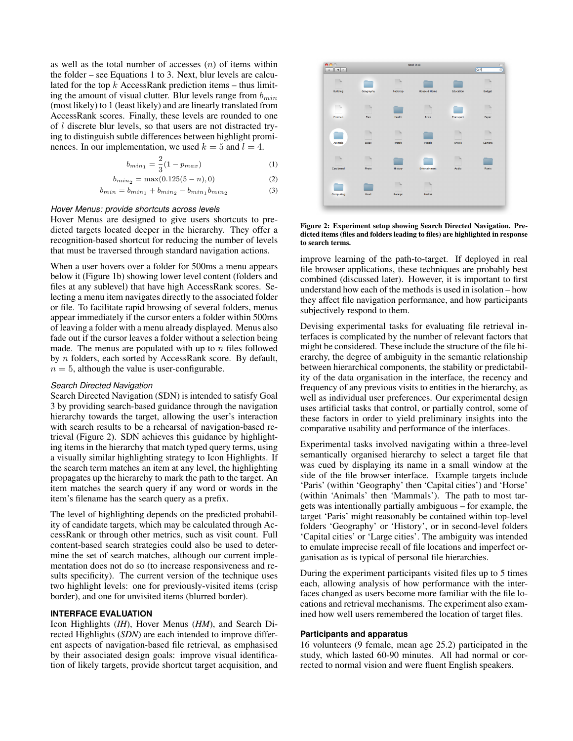as well as the total number of accesses  $(n)$  of items within the folder – see Equations [1](#page-4-0) to [3.](#page-4-1) Next, blur levels are calculated for the top  $k$  AccessRank prediction items – thus limiting the amount of visual clutter. Blur levels range from  $b_{min}$ (most likely) to 1 (least likely) and are linearly translated from AccessRank scores. Finally, these levels are rounded to one of l discrete blur levels, so that users are not distracted trying to distinguish subtle differences between highlight prominences. In our implementation, we used  $k = 5$  and  $l = 4$ .

<span id="page-4-0"></span>
$$
b_{min_1} = \frac{2}{3}(1 - p_{max})
$$
 (1)

$$
b_{min_2} = \max(0.125(5 - n), 0) \tag{2}
$$

<span id="page-4-1"></span>
$$
b_{min} = b_{min_1} + b_{min_2} - b_{min_1}b_{min_2}
$$
 (3)

## *Hover Menus: provide shortcuts across levels*

Hover Menus are designed to give users shortcuts to predicted targets located deeper in the hierarchy. They offer a recognition-based shortcut for reducing the number of levels that must be traversed through standard navigation actions.

When a user hovers over a folder for 500ms a menu appears below it (Figure [1b\)](#page-0-1) showing lower level content (folders and files at any sublevel) that have high AccessRank scores. Selecting a menu item navigates directly to the associated folder or file. To facilitate rapid browsing of several folders, menus appear immediately if the cursor enters a folder within 500ms of leaving a folder with a menu already displayed. Menus also fade out if the cursor leaves a folder without a selection being made. The menus are populated with up to  $n$  files followed by n folders, each sorted by AccessRank score. By default,  $n = 5$ , although the value is user-configurable.

## *Search Directed Navigation*

Search Directed Navigation (SDN) is intended to satisfy Goal 3 by providing search-based guidance through the navigation hierarchy towards the target, allowing the user's interaction with search results to be a rehearsal of navigation-based retrieval (Figure [2\)](#page-4-2). SDN achieves this guidance by highlighting items in the hierarchy that match typed query terms, using a visually similar highlighting strategy to Icon Highlights. If the search term matches an item at any level, the highlighting propagates up the hierarchy to mark the path to the target. An item matches the search query if any word or words in the item's filename has the search query as a prefix.

The level of highlighting depends on the predicted probability of candidate targets, which may be calculated through AccessRank or through other metrics, such as visit count. Full content-based search strategies could also be used to determine the set of search matches, although our current implementation does not do so (to increase responsiveness and results specificity). The current version of the technique uses two highlight levels: one for previously-visited items (crisp border), and one for unvisited items (blurred border).

## **INTERFACE EVALUATION**

Icon Highlights (*IH*), Hover Menus (*HM*), and Search Directed Highlights (*SDN*) are each intended to improve different aspects of navigation-based file retrieval, as emphasised by their associated design goals: improve visual identification of likely targets, provide shortcut target acquisition, and



Figure 2: Experiment setup showing Search Directed Navigation. Predicted items (files and folders leading to files) are highlighted in response to search terms.

<span id="page-4-2"></span>improve learning of the path-to-target. If deployed in real file browser applications, these techniques are probably best combined (discussed later). However, it is important to first understand how each of the methods is used in isolation – how they affect file navigation performance, and how participants subjectively respond to them.

Devising experimental tasks for evaluating file retrieval interfaces is complicated by the number of relevant factors that might be considered. These include the structure of the file hierarchy, the degree of ambiguity in the semantic relationship between hierarchical components, the stability or predictability of the data organisation in the interface, the recency and frequency of any previous visits to entities in the hierarchy, as well as individual user preferences. Our experimental design uses artificial tasks that control, or partially control, some of these factors in order to yield preliminary insights into the comparative usability and performance of the interfaces.

Experimental tasks involved navigating within a three-level semantically organised hierarchy to select a target file that was cued by displaying its name in a small window at the side of the file browser interface. Example targets include 'Paris' (within 'Geography' then 'Capital cities') and 'Horse' (within 'Animals' then 'Mammals'). The path to most targets was intentionally partially ambiguous – for example, the target 'Paris' might reasonably be contained within top-level folders 'Geography' or 'History', or in second-level folders 'Capital cities' or 'Large cities'. The ambiguity was intended to emulate imprecise recall of file locations and imperfect organisation as is typical of personal file hierarchies.

During the experiment participants visited files up to 5 times each, allowing analysis of how performance with the interfaces changed as users become more familiar with the file locations and retrieval mechanisms. The experiment also examined how well users remembered the location of target files.

#### **Participants and apparatus**

16 volunteers (9 female, mean age 25.2) participated in the study, which lasted 60-90 minutes. All had normal or corrected to normal vision and were fluent English speakers.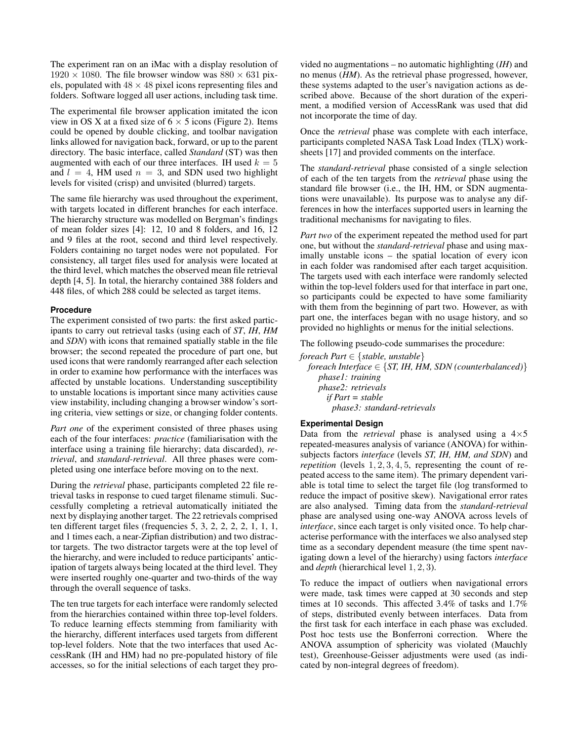The experiment ran on an iMac with a display resolution of  $1920 \times 1080$ . The file browser window was  $880 \times 631$  pixels, populated with  $48 \times 48$  pixel icons representing files and folders. Software logged all user actions, including task time.

The experimental file browser application imitated the icon view in OS X at a fixed size of  $6 \times 5$  icons (Figure [2\)](#page-4-2). Items could be opened by double clicking, and toolbar navigation links allowed for navigation back, forward, or up to the parent directory. The basic interface, called *Standard* (ST) was then augmented with each of our three interfaces. IH used  $k = 5$ and  $l = 4$ , HM used  $n = 3$ , and SDN used two highlight levels for visited (crisp) and unvisited (blurred) targets.

The same file hierarchy was used throughout the experiment, with targets located in different branches for each interface. The hierarchy structure was modelled on Bergman's findings of mean folder sizes [\[4\]](#page-9-2): 12, 10 and 8 folders, and 16, 12 and 9 files at the root, second and third level respectively. Folders containing no target nodes were not populated. For consistency, all target files used for analysis were located at the third level, which matches the observed mean file retrieval depth [\[4,](#page-9-2) [5\]](#page-9-0). In total, the hierarchy contained 388 folders and 448 files, of which 288 could be selected as target items.

# **Procedure**

The experiment consisted of two parts: the first asked participants to carry out retrieval tasks (using each of *ST*, *IH*, *HM* and *SDN*) with icons that remained spatially stable in the file browser; the second repeated the procedure of part one, but used icons that were randomly rearranged after each selection in order to examine how performance with the interfaces was affected by unstable locations. Understanding susceptibility to unstable locations is important since many activities cause view instability, including changing a browser window's sorting criteria, view settings or size, or changing folder contents.

*Part one* of the experiment consisted of three phases using each of the four interfaces: *practice* (familiarisation with the interface using a training file hierarchy; data discarded), *retrieval*, and *standard-retrieval*. All three phases were completed using one interface before moving on to the next.

During the *retrieval* phase, participants completed 22 file retrieval tasks in response to cued target filename stimuli. Successfully completing a retrieval automatically initiated the next by displaying another target. The 22 retrievals comprised ten different target files (frequencies 5, 3, 2, 2, 2, 2, 1, 1, 1, and 1 times each, a near-Zipfian distribution) and two distractor targets. The two distractor targets were at the top level of the hierarchy, and were included to reduce participants' anticipation of targets always being located at the third level. They were inserted roughly one-quarter and two-thirds of the way through the overall sequence of tasks.

The ten true targets for each interface were randomly selected from the hierarchies contained within three top-level folders. To reduce learning effects stemming from familiarity with the hierarchy, different interfaces used targets from different top-level folders. Note that the two interfaces that used AccessRank (IH and HM) had no pre-populated history of file accesses, so for the initial selections of each target they pro-

vided no augmentations – no automatic highlighting (*IH*) and no menus (*HM*). As the retrieval phase progressed, however, these systems adapted to the user's navigation actions as described above. Because of the short duration of the experiment, a modified version of AccessRank was used that did not incorporate the time of day.

Once the *retrieval* phase was complete with each interface, participants completed NASA Task Load Index (TLX) worksheets [\[17\]](#page-9-29) and provided comments on the interface.

The *standard-retrieval* phase consisted of a single selection of each of the ten targets from the *retrieval* phase using the standard file browser (i.e., the IH, HM, or SDN augmentations were unavailable). Its purpose was to analyse any differences in how the interfaces supported users in learning the traditional mechanisms for navigating to files.

*Part two* of the experiment repeated the method used for part one, but without the *standard-retrieval* phase and using maximally unstable icons – the spatial location of every icon in each folder was randomised after each target acquisition. The targets used with each interface were randomly selected within the top-level folders used for that interface in part one, so participants could be expected to have some familiarity with them from the beginning of part two. However, as with part one, the interfaces began with no usage history, and so provided no highlights or menus for the initial selections.

The following pseudo-code summarises the procedure:

*foreach Part* ∈ {*stable, unstable*} *foreach Interface* ∈ {*ST, IH, HM, SDN (counterbalanced)*} *phase1: training phase2: retrievals if Part = stable phase3: standard-retrievals*

# **Experimental Design**

Data from the *retrieval* phase is analysed using a 4×5 repeated-measures analysis of variance (ANOVA) for withinsubjects factors *interface* (levels *ST, IH, HM, and SDN*) and *repetition* (levels 1, 2, 3, 4, 5, representing the count of repeated access to the same item). The primary dependent variable is total time to select the target file (log transformed to reduce the impact of positive skew). Navigational error rates are also analysed. Timing data from the *standard-retrieval* phase are analysed using one-way ANOVA across levels of *interface*, since each target is only visited once. To help characterise performance with the interfaces we also analysed step time as a secondary dependent measure (the time spent navigating down a level of the hierarchy) using factors *interface* and *depth* (hierarchical level 1, 2, 3).

To reduce the impact of outliers when navigational errors were made, task times were capped at 30 seconds and step times at 10 seconds. This affected 3.4% of tasks and 1.7% of steps, distributed evenly between interfaces. Data from the first task for each interface in each phase was excluded. Post hoc tests use the Bonferroni correction. Where the ANOVA assumption of sphericity was violated (Mauchly test), Greenhouse-Geisser adjustments were used (as indicated by non-integral degrees of freedom).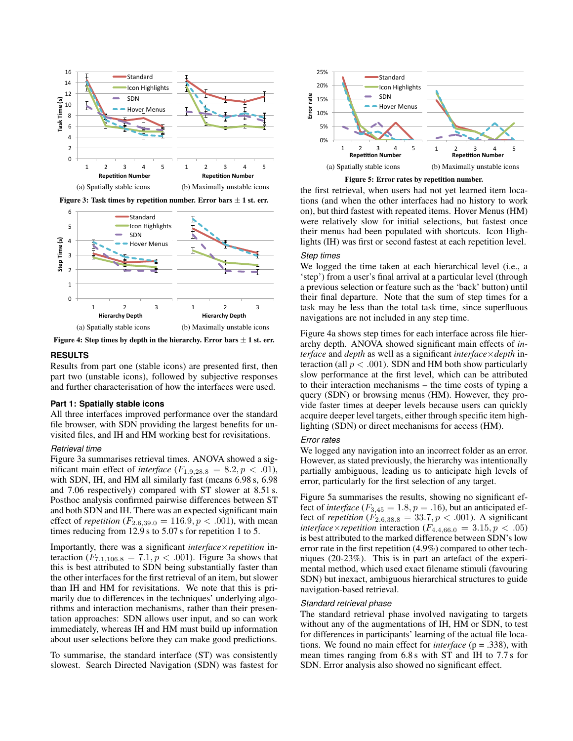<span id="page-6-0"></span>



<span id="page-6-3"></span><span id="page-6-1"></span>Figure 3: Task times by repetition number. Error bars  $\pm 1$  st. err.

<span id="page-6-4"></span>Figure 4: Step times by depth in the hierarchy. Error bars  $\pm$  1 st. err.

### **RESULTS**

Results from part one (stable icons) are presented first, then part two (unstable icons), followed by subjective responses and further characterisation of how the interfaces were used.

## **Part 1: Spatially stable icons**

All three interfaces improved performance over the standard file browser, with SDN providing the largest benefits for unvisited files, and IH and HM working best for revisitations.

#### *Retrieval time*

Figure [3a](#page-6-0) summarises retrieval times. ANOVA showed a significant main effect of *interface* ( $F_{1.9,28.8} = 8.2, p < .01$ ), with SDN, IH, and HM all similarly fast (means 6.98 s, 6.98 and 7.06 respectively) compared with ST slower at 8.51 s. Posthoc analysis confirmed pairwise differences between ST and both SDN and IH. There was an expected significant main effect of *repetition* ( $F_{2.6,39.0} = 116.9, p < .001$ ), with mean times reducing from 12.9 s to 5.07 s for repetition 1 to 5.

Importantly, there was a significant *interface*×*repetition* interaction  $(F_{7,1,106,8} = 7.1, p < .001)$ . Figure [3a](#page-6-0) shows that this is best attributed to SDN being substantially faster than the other interfaces for the first retrieval of an item, but slower than IH and HM for revisitations. We note that this is primarily due to differences in the techniques' underlying algorithms and interaction mechanisms, rather than their presentation approaches: SDN allows user input, and so can work immediately, whereas IH and HM must build up information about user selections before they can make good predictions.

To summarise, the standard interface (ST) was consistently slowest. Search Directed Navigation (SDN) was fastest for

<span id="page-6-2"></span>

<span id="page-6-5"></span>Figure 5: Error rates by repetition number.

the first retrieval, when users had not yet learned item locations (and when the other interfaces had no history to work on), but third fastest with repeated items. Hover Menus (HM) were relatively slow for initial selections, but fastest once their menus had been populated with shortcuts. Icon Highlights (IH) was first or second fastest at each repetition level.

#### *Step times*

We logged the time taken at each hierarchical level (i.e., a 'step') from a user's final arrival at a particular level (through a previous selection or feature such as the 'back' button) until their final departure. Note that the sum of step times for a task may be less than the total task time, since superfluous navigations are not included in any step time.

Figure [4a](#page-6-1) shows step times for each interface across file hierarchy depth. ANOVA showed significant main effects of *interface* and *depth* as well as a significant *interface*×*depth* interaction (all  $p < .001$ ). SDN and HM both show particularly slow performance at the first level, which can be attributed to their interaction mechanisms – the time costs of typing a query (SDN) or browsing menus (HM). However, they provide faster times at deeper levels because users can quickly acquire deeper level targets, either through specific item highlighting (SDN) or direct mechanisms for access (HM).

#### *Error rates*

We logged any navigation into an incorrect folder as an error. However, as stated previously, the hierarchy was intentionally partially ambiguous, leading us to anticipate high levels of error, particularly for the first selection of any target.

Figure [5a](#page-6-2) summarises the results, showing no significant effect of *interface* ( $F_{3,45} = 1.8$ ,  $p = .16$ ), but an anticipated effect of *repetition* ( $F_{2.6,38.8} = 33.7, p < .001$ ). A significant *interface*×*repetition* interaction  $(F_{4.4,66.0} = 3.15, p < .05)$ is best attributed to the marked difference between SDN's low error rate in the first repetition (4.9%) compared to other techniques (20-23%). This is in part an artefact of the experimental method, which used exact filename stimuli (favouring SDN) but inexact, ambiguous hierarchical structures to guide navigation-based retrieval.

#### *Standard retrieval phase*

The standard retrieval phase involved navigating to targets without any of the augmentations of IH, HM or SDN, to test for differences in participants' learning of the actual file locations. We found no main effect for *interface* (p = .338), with mean times ranging from 6.8 s with ST and IH to 7.7 s for SDN. Error analysis also showed no significant effect.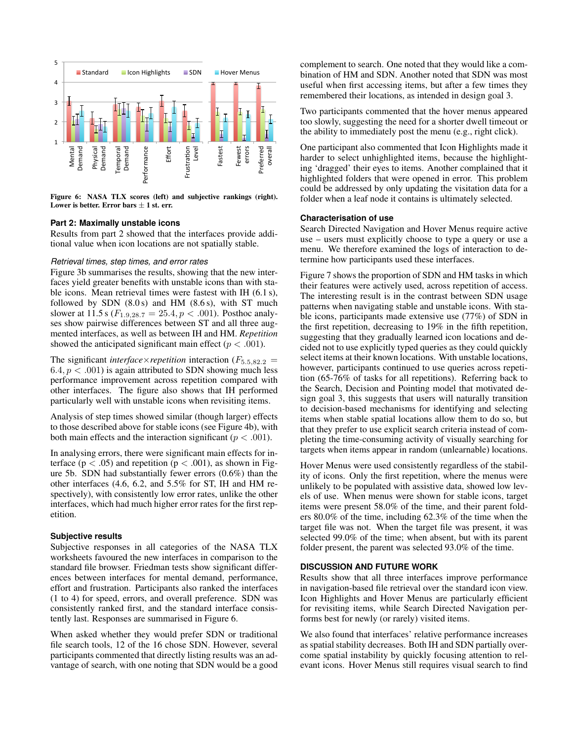

<span id="page-7-0"></span>Figure 6: NASA TLX scores (left) and subjective rankings (right). Lower is better. Error bars  $\pm$  1 st. err.

## **Part 2: Maximally unstable icons**

Results from part 2 showed that the interfaces provide additional value when icon locations are not spatially stable.

## *Retrieval times, step times, and error rates*

Figure [3b](#page-6-3) summarises the results, showing that the new interfaces yield greater benefits with unstable icons than with stable icons. Mean retrieval times were fastest with IH (6.1 s), followed by SDN  $(8.0 s)$  and HM  $(8.6 s)$ , with ST much slower at 11.5 s ( $F_{1.9,28.7} = 25.4, p < .001$ ). Posthoc analyses show pairwise differences between ST and all three augmented interfaces, as well as between IH and HM. *Repetition* showed the anticipated significant main effect ( $p < .001$ ).

The significant *interface*×*repetition* interaction ( $F_{5.5,82,2}$  =  $6.4, p < .001$ ) is again attributed to SDN showing much less performance improvement across repetition compared with other interfaces. The figure also shows that IH performed particularly well with unstable icons when revisiting items.

Analysis of step times showed similar (though larger) effects to those described above for stable icons (see Figure [4b\)](#page-6-4), with both main effects and the interaction significant ( $p < .001$ ).

In analysing errors, there were significant main effects for interface ( $p < .05$ ) and repetition ( $p < .001$ ), as shown in Figure [5b.](#page-6-5) SDN had substantially fewer errors (0.6%) than the other interfaces (4.6, 6.2, and 5.5% for ST, IH and HM respectively), with consistently low error rates, unlike the other interfaces, which had much higher error rates for the first repetition.

#### **Subjective results**

Subjective responses in all categories of the NASA TLX worksheets favoured the new interfaces in comparison to the standard file browser. Friedman tests show significant differences between interfaces for mental demand, performance, effort and frustration. Participants also ranked the interfaces (1 to 4) for speed, errors, and overall preference. SDN was consistently ranked first, and the standard interface consistently last. Responses are summarised in Figure [6.](#page-7-0)

When asked whether they would prefer SDN or traditional file search tools, 12 of the 16 chose SDN. However, several participants commented that directly listing results was an advantage of search, with one noting that SDN would be a good complement to search. One noted that they would like a combination of HM and SDN. Another noted that SDN was most useful when first accessing items, but after a few times they remembered their locations, as intended in design goal 3.

Two participants commented that the hover menus appeared too slowly, suggesting the need for a shorter dwell timeout or the ability to immediately post the menu (e.g., right click).

One participant also commented that Icon Highlights made it harder to select unhighlighted items, because the highlighting 'dragged' their eyes to items. Another complained that it highlighted folders that were opened in error. This problem could be addressed by only updating the visitation data for a folder when a leaf node it contains is ultimately selected.

# **Characterisation of use**

Search Directed Navigation and Hover Menus require active use – users must explicitly choose to type a query or use a menu. We therefore examined the logs of interaction to determine how participants used these interfaces.

Figure [7](#page-8-0) shows the proportion of SDN and HM tasks in which their features were actively used, across repetition of access. The interesting result is in the contrast between SDN usage patterns when navigating stable and unstable icons. With stable icons, participants made extensive use (77%) of SDN in the first repetition, decreasing to 19% in the fifth repetition, suggesting that they gradually learned icon locations and decided not to use explicitly typed queries as they could quickly select items at their known locations. With unstable locations, however, participants continued to use queries across repetition (65-76% of tasks for all repetitions). Referring back to the Search, Decision and Pointing model that motivated design goal 3, this suggests that users will naturally transition to decision-based mechanisms for identifying and selecting items when stable spatial locations allow them to do so, but that they prefer to use explicit search criteria instead of completing the time-consuming activity of visually searching for targets when items appear in random (unlearnable) locations.

Hover Menus were used consistently regardless of the stability of icons. Only the first repetition, where the menus were unlikely to be populated with assistive data, showed low levels of use. When menus were shown for stable icons, target items were present 58.0% of the time, and their parent folders 80.0% of the time, including 62.3% of the time when the target file was not. When the target file was present, it was selected 99.0% of the time; when absent, but with its parent folder present, the parent was selected 93.0% of the time.

## **DISCUSSION AND FUTURE WORK**

Results show that all three interfaces improve performance in navigation-based file retrieval over the standard icon view. Icon Highlights and Hover Menus are particularly efficient for revisiting items, while Search Directed Navigation performs best for newly (or rarely) visited items.

We also found that interfaces' relative performance increases as spatial stability decreases. Both IH and SDN partially overcome spatial instability by quickly focusing attention to relevant icons. Hover Menus still requires visual search to find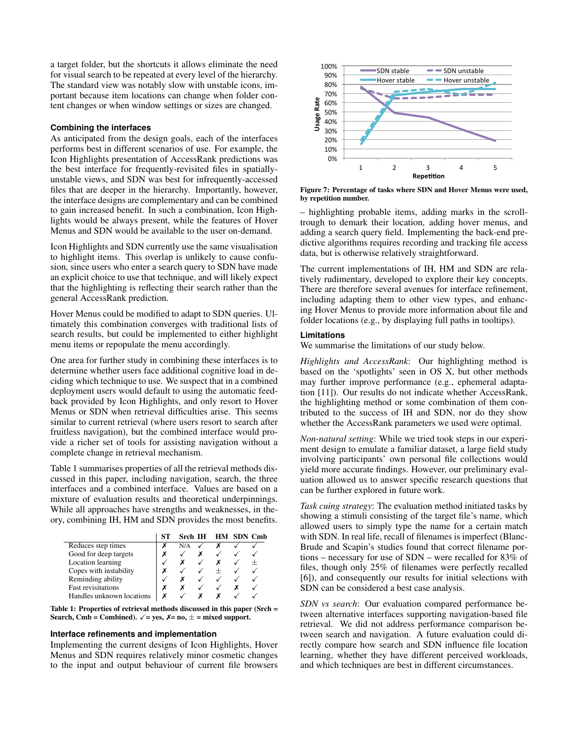a target folder, but the shortcuts it allows eliminate the need for visual search to be repeated at every level of the hierarchy. The standard view was notably slow with unstable icons, important because item locations can change when folder content changes or when window settings or sizes are changed.

### **Combining the interfaces**

As anticipated from the design goals, each of the interfaces performs best in different scenarios of use. For example, the Icon Highlights presentation of AccessRank predictions was the best interface for frequently-revisited files in spatiallyunstable views, and SDN was best for infrequently-accessed files that are deeper in the hierarchy. Importantly, however, the interface designs are complementary and can be combined to gain increased benefit. In such a combination, Icon Highlights would be always present, while the features of Hover Menus and SDN would be available to the user on-demand.

Icon Highlights and SDN currently use the same visualisation to highlight items. This overlap is unlikely to cause confusion, since users who enter a search query to SDN have made an explicit choice to use that technique, and will likely expect that the highlighting is reflecting their search rather than the general AccessRank prediction.

Hover Menus could be modified to adapt to SDN queries. Ultimately this combination converges with traditional lists of search results, but could be implemented to either highlight menu items or repopulate the menu accordingly.

One area for further study in combining these interfaces is to determine whether users face additional cognitive load in deciding which technique to use. We suspect that in a combined deployment users would default to using the automatic feedback provided by Icon Highlights, and only resort to Hover Menus or SDN when retrieval difficulties arise. This seems similar to current retrieval (where users resort to search after fruitless navigation), but the combined interface would provide a richer set of tools for assisting navigation without a complete change in retrieval mechanism.

Table [1](#page-8-1) summarises properties of all the retrieval methods discussed in this paper, including navigation, search, the three interfaces and a combined interface. Values are based on a mixture of evaluation results and theoretical underpinnings. While all approaches have strengths and weaknesses, in theory, combining IH, HM and SDN provides the most benefits.

|                           | Srch IH |  | HM SDN Cmb |  |
|---------------------------|---------|--|------------|--|
| Reduces step times        | N/A     |  |            |  |
| Good for deep targets     |         |  |            |  |
| Location learning         |         |  |            |  |
| Copes with instability    |         |  |            |  |
| Reminding ability         |         |  |            |  |
| <b>Fast revisitations</b> |         |  |            |  |
| Handles unknown locations |         |  |            |  |

<span id="page-8-1"></span>Table 1: Properties of retrieval methods discussed in this paper (Srch = Search, Cmb = Combined).  $\sqrt{ }$  = yes,  $\chi$  = no,  $\pm$  = mixed support.

#### **Interface refinements and implementation**

Implementing the current designs of Icon Highlights, Hover Menus and SDN requires relatively minor cosmetic changes to the input and output behaviour of current file browsers



<span id="page-8-0"></span>Figure 7: Percentage of tasks where SDN and Hover Menus were used, by repetition number.

– highlighting probable items, adding marks in the scrolltrough to demark their location, adding hover menus, and adding a search query field. Implementing the back-end predictive algorithms requires recording and tracking file access data, but is otherwise relatively straightforward.

The current implementations of IH, HM and SDN are relatively rudimentary, developed to explore their key concepts. There are therefore several avenues for interface refinement, including adapting them to other view types, and enhancing Hover Menus to provide more information about file and folder locations (e.g., by displaying full paths in tooltips).

#### **Limitations**

We summarise the limitations of our study below.

*Highlights and AccessRank*: Our highlighting method is based on the 'spotlights' seen in OS X, but other methods may further improve performance (e.g., ephemeral adaptation [\[11\]](#page-9-23)). Our results do not indicate whether AccessRank, the highlighting method or some combination of them contributed to the success of IH and SDN, nor do they show whether the AccessRank parameters we used were optimal.

*Non-natural setting*: While we tried took steps in our experiment design to emulate a familiar dataset, a large field study involving participants' own personal file collections would yield more accurate findings. However, our preliminary evaluation allowed us to answer specific research questions that can be further explored in future work.

*Task cuing strategy*: The evaluation method initiated tasks by showing a stimuli consisting of the target file's name, which allowed users to simply type the name for a certain match with SDN. In real life, recall of filenames is imperfect (Blanc-Brude and Scapin's studies found that correct filename portions – necessary for use of SDN – were recalled for 83% of files, though only 25% of filenames were perfectly recalled [\[6\]](#page-9-20)), and consequently our results for initial selections with SDN can be considered a best case analysis.

*SDN vs search*: Our evaluation compared performance between alternative interfaces supporting navigation-based file retrieval. We did not address performance comparison between search and navigation. A future evaluation could directly compare how search and SDN influence file location learning, whether they have different perceived workloads, and which techniques are best in different circumstances.